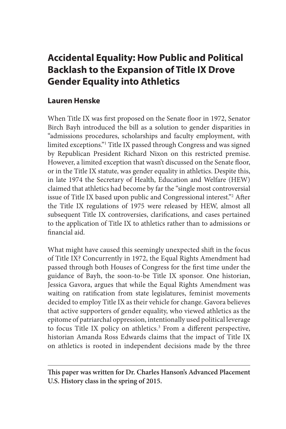# **Accidental Equality: How Public and Political Backlash to the Expansion of Title IX Drove Gender Equality into Athletics**

# **Lauren Henske**

When Title IX was first proposed on the Senate floor in 1972, Senator Birch Bayh introduced the bill as a solution to gender disparities in "admissions procedures, scholarships and faculty employment, with limited exceptions."1 Title IX passed through Congress and was signed by Republican President Richard Nixon on this restricted premise. However, a limited exception that wasn't discussed on the Senate floor, or in the Title IX statute, was gender equality in athletics. Despite this, in late 1974 the Secretary of Health, Education and Welfare (HEW) claimed that athletics had become by far the "single most controversial issue of Title IX based upon public and Congressional interest."2 After the Title IX regulations of 1975 were released by HEW, almost all subsequent Title IX controversies, clarifications, and cases pertained to the application of Title IX to athletics rather than to admissions or financial aid.

What might have caused this seemingly unexpected shift in the focus of Title IX? Concurrently in 1972, the Equal Rights Amendment had passed through both Houses of Congress for the first time under the guidance of Bayh, the soon-to-be Title IX sponsor. One historian, Jessica Gavora, argues that while the Equal Rights Amendment was waiting on ratification from state legislatures, feminist movements decided to employ Title IX as their vehicle for change. Gavora believes that active supporters of gender equality, who viewed athletics as the epitome of patriarchal oppression, intentionally used political leverage to focus Title IX policy on athletics.<sup>3</sup> From a different perspective, historian Amanda Ross Edwards claims that the impact of Title IX on athletics is rooted in independent decisions made by the three

**This paper was written for Dr. Charles Hanson's Advanced Placement U.S. History class in the spring of 2015.**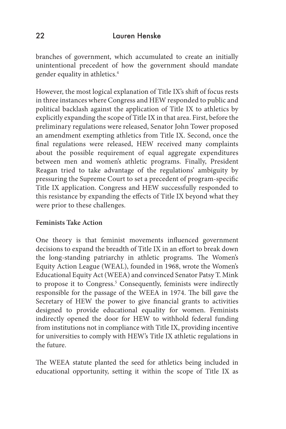branches of government, which accumulated to create an initially unintentional precedent of how the government should mandate gender equality in athletics.4

However, the most logical explanation of Title IX's shift of focus rests in three instances where Congress and HEW responded to public and political backlash against the application of Title IX to athletics by explicitly expanding the scope of Title IX in that area. First, before the preliminary regulations were released, Senator John Tower proposed an amendment exempting athletics from Title IX. Second, once the final regulations were released, HEW received many complaints about the possible requirement of equal aggregate expenditures between men and women's athletic programs. Finally, President Reagan tried to take advantage of the regulations' ambiguity by pressuring the Supreme Court to set a precedent of program-specific Title IX application. Congress and HEW successfully responded to this resistance by expanding the effects of Title IX beyond what they were prior to these challenges.

### **Feminists Take Action**

One theory is that feminist movements influenced government decisions to expand the breadth of Title IX in an effort to break down the long-standing patriarchy in athletic programs. The Women's Equity Action League (WEAL), founded in 1968, wrote the Women's Educational Equity Act (WEEA) and convinced Senator Patsy T. Mink to propose it to Congress.<sup>5</sup> Consequently, feminists were indirectly responsible for the passage of the WEEA in 1974. The bill gave the Secretary of HEW the power to give financial grants to activities designed to provide educational equality for women. Feminists indirectly opened the door for HEW to withhold federal funding from institutions not in compliance with Title IX, providing incentive for universities to comply with HEW's Title IX athletic regulations in the future.

The WEEA statute planted the seed for athletics being included in educational opportunity, setting it within the scope of Title IX as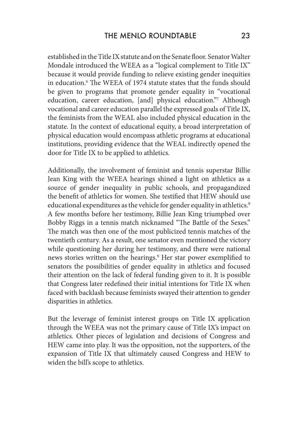established in the Title IX statute and on the Senate floor. Senator Walter Mondale introduced the WEEA as a "logical complement to Title IX" because it would provide funding to relieve existing gender inequities in education.6 The WEEA of 1974 statute states that the funds should be given to programs that promote gender equality in "vocational education, career education, [and] physical education."7 Although vocational and career education parallel the expressed goals of Title IX, the feminists from the WEAL also included physical education in the statute. In the context of educational equity, a broad interpretation of physical education would encompass athletic programs at educational institutions, providing evidence that the WEAL indirectly opened the door for Title IX to be applied to athletics.

Additionally, the involvement of feminist and tennis superstar Billie Jean King with the WEEA hearings shined a light on athletics as a source of gender inequality in public schools, and propagandized the benefit of athletics for women. She testified that HEW should use educational expenditures as the vehicle for gender equality in athletics.<sup>8</sup> A few months before her testimony, Billie Jean King triumphed over Bobby Riggs in a tennis match nicknamed "The Battle of the Sexes." The match was then one of the most publicized tennis matches of the twentieth century. As a result, one senator even mentioned the victory while questioning her during her testimony, and there were national news stories written on the hearings.<sup>9</sup> Her star power exemplified to senators the possibilities of gender equality in athletics and focused their attention on the lack of federal funding given to it. It is possible that Congress later redefined their initial intentions for Title IX when faced with backlash because feminists swayed their attention to gender disparities in athletics.

But the leverage of feminist interest groups on Title IX application through the WEEA was not the primary cause of Title IX's impact on athletics. Other pieces of legislation and decisions of Congress and HEW came into play. It was the opposition, not the supporters, of the expansion of Title IX that ultimately caused Congress and HEW to widen the bill's scope to athletics.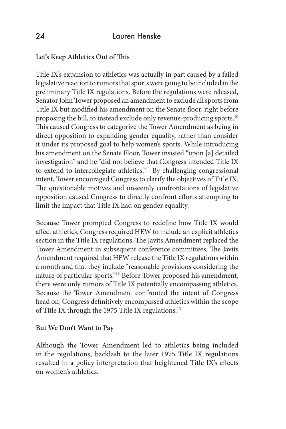### **Let's Keep Athletics Out of This**

Title IX's expansion to athletics was actually in part caused by a failed legislative reaction to rumors that sports were going to be included in the preliminary Title IX regulations. Before the regulations were released, Senator John Tower proposed an amendment to exclude all sports from Title IX but modified his amendment on the Senate floor, right before proposing the bill, to instead exclude only revenue-producing sports.10 This caused Congress to categorize the Tower Amendment as being in direct opposition to expanding gender equality, rather than consider it under its proposed goal to help women's sports. While introducing his amendment on the Senate Floor, Tower insisted "upon [a] detailed investigation" and he "did not believe that Congress intended Title IX to extend to intercollegiate athletics."<sup>11</sup> By challenging congressional intent, Tower encouraged Congress to clarify the objectives of Title IX. The questionable motives and unseemly confrontations of legislative opposition caused Congress to directly confront efforts attempting to limit the impact that Title IX had on gender equality.

Because Tower prompted Congress to redefine how Title IX would affect athletics, Congress required HEW to include an explicit athletics section in the Title IX regulations. The Javits Amendment replaced the Tower Amendment in subsequent conference committees. The Javits Amendment required that HEW release the Title IX regulations within a month and that they include "reasonable provisions considering the nature of particular sports."12 Before Tower proposed his amendment, there were only rumors of Title IX potentially encompassing athletics. Because the Tower Amendment confronted the intent of Congress head on, Congress definitively encompassed athletics within the scope of Title IX through the 1975 Title IX regulations.<sup>13</sup>

#### **But We Don't Want to Pay**

Although the Tower Amendment led to athletics being included in the regulations, backlash to the later 1975 Title IX regulations resulted in a policy interpretation that heightened Title IX's effects on women's athletics.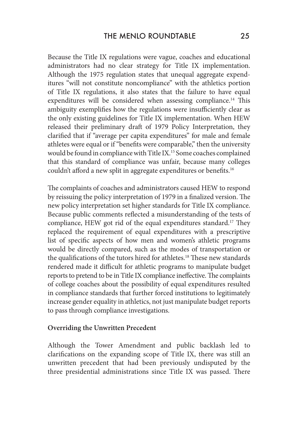Because the Title IX regulations were vague, coaches and educational administrators had no clear strategy for Title IX implementation. Although the 1975 regulation states that unequal aggregate expenditures "will not constitute noncompliance" with the athletics portion of Title IX regulations, it also states that the failure to have equal expenditures will be considered when assessing compliance.<sup>14</sup> This ambiguity exemplifies how the regulations were insufficiently clear as the only existing guidelines for Title IX implementation. When HEW released their preliminary draft of 1979 Policy Interpretation, they clarified that if "average per capita expenditures" for male and female athletes were equal or if "benefits were comparable," then the university would be found in compliance with Title IX.15 Some coaches complained that this standard of compliance was unfair, because many colleges couldn't afford a new split in aggregate expenditures or benefits.<sup>16</sup>

The complaints of coaches and administrators caused HEW to respond by reissuing the policy interpretation of 1979 in a finalized version. The new policy interpretation set higher standards for Title IX compliance. Because public comments reflected a misunderstanding of the tests of compliance, HEW got rid of the equal expenditures standard.17 They replaced the requirement of equal expenditures with a prescriptive list of specific aspects of how men and women's athletic programs would be directly compared, such as the modes of transportation or the qualifications of the tutors hired for athletes.<sup>18</sup> These new standards rendered made it difficult for athletic programs to manipulate budget reports to pretend to be in Title IX compliance ineffective. The complaints of college coaches about the possibility of equal expenditures resulted in compliance standards that further forced institutions to legitimately increase gender equality in athletics, not just manipulate budget reports to pass through compliance investigations.

#### **Overriding the Unwritten Precedent**

Although the Tower Amendment and public backlash led to clarifications on the expanding scope of Title IX, there was still an unwritten precedent that had been previously undisputed by the three presidential administrations since Title IX was passed. There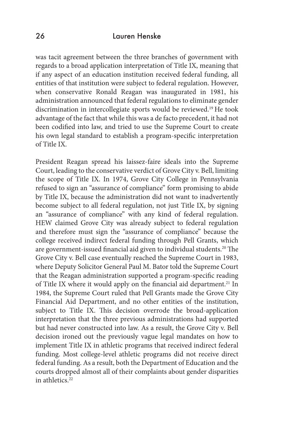### 26 Lauren Henske

was tacit agreement between the three branches of government with regards to a broad application interpretation of Title IX, meaning that if any aspect of an education institution received federal funding, all entities of that institution were subject to federal regulation. However, when conservative Ronald Reagan was inaugurated in 1981, his administration announced that federal regulations to eliminate gender discrimination in intercollegiate sports would be reviewed.19 He took advantage of the fact that while this was a de facto precedent, it had not been codified into law, and tried to use the Supreme Court to create his own legal standard to establish a program-specific interpretation of Title IX.

President Reagan spread his laissez-faire ideals into the Supreme Court, leading to the conservative verdict of Grove City v. Bell, limiting the scope of Title IX. In 1974, Grove City College in Pennsylvania refused to sign an "assurance of compliance" form promising to abide by Title IX, because the administration did not want to inadvertently become subject to all federal regulation, not just Title IX, by signing an "assurance of compliance" with any kind of federal regulation. HEW claimed Grove City was already subject to federal regulation and therefore must sign the "assurance of compliance" because the college received indirect federal funding through Pell Grants, which are government-issued financial aid given to individual students.<sup>20</sup> The Grove City v. Bell case eventually reached the Supreme Court in 1983, where Deputy Solicitor General Paul M. Bator told the Supreme Court that the Reagan administration supported a program-specific reading of Title IX where it would apply on the financial aid department.<sup>21</sup> In 1984, the Supreme Court ruled that Pell Grants made the Grove City Financial Aid Department, and no other entities of the institution, subject to Title IX. This decision overrode the broad-application interpretation that the three previous administrations had supported but had never constructed into law. As a result, the Grove City v. Bell decision ironed out the previously vague legal mandates on how to implement Title IX in athletic programs that received indirect federal funding. Most college-level athletic programs did not receive direct federal funding. As a result, both the Department of Education and the courts dropped almost all of their complaints about gender disparities in athletics.<sup>22</sup>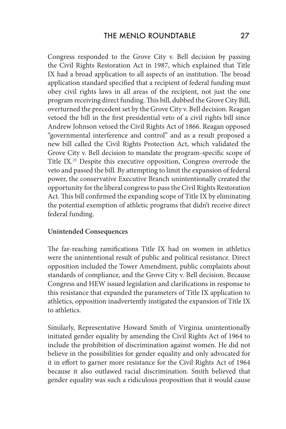Congress responded to the Grove City v. Bell decision by passing the Civil Rights Restoration Act in 1987, which explained that Title IX had a broad application to all aspects of an institution. The broad application standard specified that a recipient of federal funding must obey civil rights laws in all areas of the recipient, not just the one program receiving direct funding. This bill, dubbed the Grove City Bill, overturned the precedent set by the Grove City v. Bell decision. Reagan vetoed the bill in the first presidential veto of a civil rights bill since Andrew Johnson vetoed the Civil Rights Act of 1866. Reagan opposed "governmental interference and control" and as a result proposed a new bill called the Civil Rights Protection Act, which validated the Grove City v. Bell decision to mandate the program-specific scope of Title IX.23 Despite this executive opposition, Congress overrode the veto and passed the bill. By attempting to limit the expansion of federal power, the conservative Executive Branch unintentionally created the opportunity for the liberal congress to pass the Civil Rights Restoration Act. This bill confirmed the expanding scope of Title IX by eliminating the potential exemption of athletic programs that didn't receive direct federal funding.

#### **Unintended Consequences**

The far-reaching ramifications Title IX had on women in athletics were the unintentional result of public and political resistance. Direct opposition included the Tower Amendment, public complaints about standards of compliance, and the Grove City v. Bell decision. Because Congress and HEW issued legislation and clarifications in response to this resistance that expanded the parameters of Title IX application to athletics, opposition inadvertently instigated the expansion of Title IX to athletics.

Similarly, Representative Howard Smith of Virginia unintentionally initiated gender equality by amending the Civil Rights Act of 1964 to include the prohibition of discrimination against women. He did not believe in the possibilities for gender equality and only advocated for it in effort to garner more resistance for the Civil Rights Act of 1964 because it also outlawed racial discrimination. Smith believed that gender equality was such a ridiculous proposition that it would cause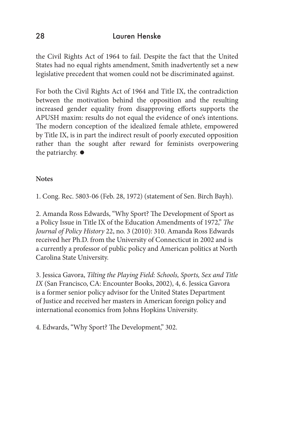# 28 Lauren Henske

the Civil Rights Act of 1964 to fail. Despite the fact that the United States had no equal rights amendment, Smith inadvertently set a new legislative precedent that women could not be discriminated against.

For both the Civil Rights Act of 1964 and Title IX, the contradiction between the motivation behind the opposition and the resulting increased gender equality from disapproving efforts supports the APUSH maxim: results do not equal the evidence of one's intentions. The modern conception of the idealized female athlete, empowered by Title IX, is in part the indirect result of poorly executed opposition rather than the sought after reward for feminists overpowering the patriarchy.  $\bullet$ 

### **Notes**

1. Cong. Rec. 5803-06 (Feb. 28, 1972) (statement of Sen. Birch Bayh).

2. Amanda Ross Edwards, "Why Sport? The Development of Sport as a Policy Issue in Title IX of the Education Amendments of 1972," *The Journal of Policy History* 22, no. 3 (2010): 310. Amanda Ross Edwards received her Ph.D. from the University of Connecticut in 2002 and is a currently a professor of public policy and American politics at North Carolina State University.

3. Jessica Gavora, *Tilting the Playing Field: Schools, Sports, Sex and Title IX* (San Francisco, CA: Encounter Books, 2002), 4, 6. Jessica Gavora is a former senior policy advisor for the United States Department of Justice and received her masters in American foreign policy and international economics from Johns Hopkins University.

4. Edwards, "Why Sport? The Development," 302.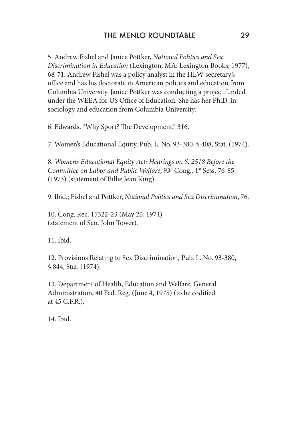# THE MENLO ROUNDTABLE 29

5. Andrew Fishel and Janice Pottker, *National Politics and Sex Discrimination in Education* (Lexington, MA: Lexington Books, 1977), 68-71. Andrew Fishel was a policy analyst in the HEW secretary's office and has his doctorate in American politics and education from Columbia University. Janice Pottker was conducting a project funded under the WEEA for US Office of Education. She has her Ph.D. in sociology and education from Columbia University.

6. Edwards, "Why Sport? The Development," 316.

7. Women's Educational Equity, Pub. L. No. 93-380, § 408, Stat. (1974).

8. *Women's Educational Equity Act: Hearings on S. 2518 Before the*  Committee on Labor and Public Welfare, 93<sup>d</sup> Cong., 1<sup>st</sup> Sess. 76-85 (1973) (statement of Billie Jean King).

9. Ibid.; Fishel and Pottker, *National Politics and Sex Discrimination*, 76.

10. Cong. Rec. 15322-23 (May 20, 1974) (statement of Sen. John Tower).

11. Ibid.

12. Provisions Relating to Sex Discrimination, Pub. L. No. 93-380, § 844, Stat. (1974).

13. Department of Health, Education and Welfare, General Administration, 40 Fed. Reg. (June 4, 1975) (to be codified at 45 C.F.R.).

14. Ibid.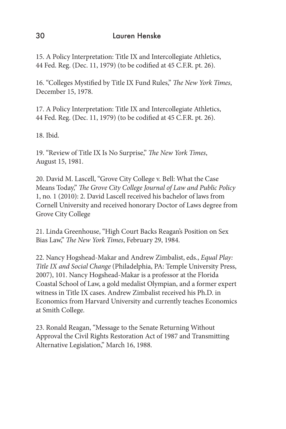15. A Policy Interpretation: Title IX and Intercollegiate Athletics, 44 Fed. Reg. (Dec. 11, 1979) (to be codified at 45 C.F.R. pt. 26).

16. "Colleges Mystified by Title IX Fund Rules," *The New York Times*, December 15, 1978.

17. A Policy Interpretation: Title IX and Intercollegiate Athletics, 44 Fed. Reg. (Dec. 11, 1979) (to be codified at 45 C.F.R. pt. 26).

18. Ibid.

19. "Review of Title IX Is No Surprise," *The New York Times*, August 15, 1981.

20. David M. Lascell, "Grove City College v. Bell: What the Case Means Today," *The Grove City College Journal of Law and Public Policy* 1, no. 1 (2010): 2. David Lascell received his bachelor of laws from Cornell University and received honorary Doctor of Laws degree from Grove City College

21. Linda Greenhouse, "High Court Backs Reagan's Position on Sex Bias Law," *The New York Times*, February 29, 1984.

22. Nancy Hogshead-Makar and Andrew Zimbalist, eds., *Equal Play: Title IX and Social Change* (Philadelphia, PA: Temple University Press, 2007), 101. Nancy Hogshead-Makar is a professor at the Florida Coastal School of Law, a gold medalist Olympian, and a former expert witness in Title IX cases. Andrew Zimbalist received his Ph.D. in Economics from Harvard University and currently teaches Economics at Smith College.

23. Ronald Reagan, "Message to the Senate Returning Without Approval the Civil Rights Restoration Act of 1987 and Transmitting Alternative Legislation," March 16, 1988.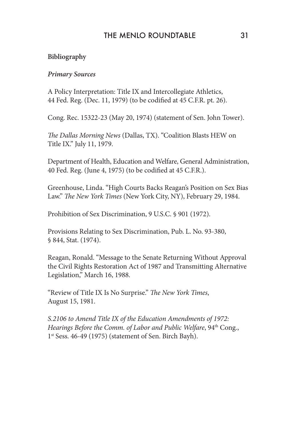# THE MENLO ROUNDTABLE 31

#### **Bibliography**

#### *Primary Sources*

A Policy Interpretation: Title IX and Intercollegiate Athletics, 44 Fed. Reg. (Dec. 11, 1979) (to be codified at 45 C.F.R. pt. 26).

Cong. Rec. 15322-23 (May 20, 1974) (statement of Sen. John Tower).

*The Dallas Morning News* (Dallas, TX). "Coalition Blasts HEW on Title IX." July 11, 1979.

Department of Health, Education and Welfare, General Administration, 40 Fed. Reg. (June 4, 1975) (to be codified at 45 C.F.R.).

Greenhouse, Linda. "High Courts Backs Reagan's Position on Sex Bias Law." *The New York Times* (New York City, NY), February 29, 1984.

Prohibition of Sex Discrimination, 9 U.S.C. § 901 (1972).

Provisions Relating to Sex Discrimination, Pub. L. No. 93-380, § 844, Stat. (1974).

Reagan, Ronald. "Message to the Senate Returning Without Approval the Civil Rights Restoration Act of 1987 and Transmitting Alternative Legislation," March 16, 1988.

"Review of Title IX Is No Surprise." *The New York Times*, August 15, 1981.

*S.2106 to Amend Title IX of the Education Amendments of 1972: Hearings Before the Comm. of Labor and Public Welfare*, 94<sup>th</sup> Cong., 1<sup>st</sup> Sess. 46-49 (1975) (statement of Sen. Birch Bayh).